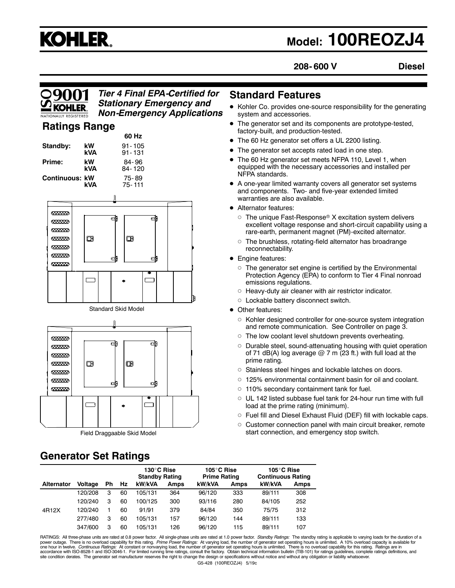# **KOHLER.**

## **Model: 100REOZJ4**

**208- 600 V Diesel**

#### *Tier 4 Final EPA-Certified for Stationary Emergency and Non-Emergency Applications*

#### **Ratings Range**

|                                                                |                           | 60 Hz                                                                          |
|----------------------------------------------------------------|---------------------------|--------------------------------------------------------------------------------|
| Standby:                                                       | kW<br>kVA                 | 91 - 105<br>91-131                                                             |
| Prime:                                                         | kW<br>kVA                 | 84-96<br>84-120                                                                |
| Continuous: kW                                                 | kVA                       | 75-89<br>75-111                                                                |
|                                                                |                           |                                                                                |
| 6888888<br>6333333<br>6888888<br>6333333<br>6333333<br>6333333 | $\hbox{I\hskip -2.3pt B}$ | di<br>di<br>$\Box$<br>আ<br>$\overline{\mathbf{e}}$<br>$\overline{\phantom{a}}$ |

Standard Skid Model



Field Draggaable Skid Model

## **Generator Set Ratings**

#### **Standard Features**

- Kohler Co. provides one-source responsibility for the generating system and accessories.
- The generator set and its components are prototype-tested, factory-built, and production-tested.
- The 60 Hz generator set offers a UL 2200 listing.
- The generator set accepts rated load in one step.
- The 60 Hz generator set meets NFPA 110, Level 1, when equipped with the necessary accessories and installed per NFPA standards.
- A one-year limited warranty covers all generator set systems and components. Two- and five-year extended limited warranties are also available.
- Alternator features:
	- $\circ$  The unique Fast-Response® X excitation system delivers excellent voltage response and short-circuit capability using a rare-earth, permanent magnet (PM)-excited alternator.
	- $\circ$  The brushless, rotating-field alternator has broadrange reconnectability.
- Engine features:
	- $\circ$  The generator set engine is certified by the Environmental Protection Agency (EPA) to conform to Tier 4 Final nonroad emissions regulations.
	- $\circ$  Heavy-duty air cleaner with air restrictor indicator.
	- o Lockable battery disconnect switch.
- Other features:
	- $\circ$  Kohler designed controller for one-source system integration and remote communication. See Controller on page 3.
	- $\circ$  The low coolant level shutdown prevents overheating.
	- $\circ$  Durable steel, sound-attenuating housing with quiet operation of 71 dB(A) log average  $@$  7 m (23 ft.) with full load at the prime rating.
	- $\circ$  Stainless steel hinges and lockable latches on doors.
	- $\circ$  125% environmental containment basin for oil and coolant.
	- $\circ$  110% secondary containment tank for fuel.
	- $\circ$  UL 142 listed subbase fuel tank for 24-hour run time with full load at the prime rating (minimum).
	- $\circ$  Fuel fill and Diesel Exhaust Fluid (DEF) fill with lockable caps.
	- $\circ$  Customer connection panel with main circuit breaker, remote start connection, and emergency stop switch.

|                   |                |    |    | 130°C Rise<br><b>Standby Rating</b> |      | 105°C Rise<br><b>Prime Rating</b> |             | 105°C Rise<br><b>Continuous Rating</b> |             |
|-------------------|----------------|----|----|-------------------------------------|------|-----------------------------------|-------------|----------------------------------------|-------------|
| <b>Alternator</b> | <b>Voltage</b> | Ph | Hz | kW/kVA                              | Amps | kW/kVA                            | <b>Amps</b> | kW/kVA                                 | <b>Amps</b> |
|                   | 120/208        | 3  | 60 | 105/131                             | 364  | 96/120                            | 333         | 89/111                                 | 308         |
|                   | 120/240        | 3  | 60 | 100/125                             | 300  | 93/116                            | 280         | 84/105                                 | 252         |
| 4R12X             | 120/240        |    | 60 | 91/91                               | 379  | 84/84                             | 350         | 75/75                                  | 312         |
|                   | 277/480        | 3  | 60 | 105/131                             | 157  | 96/120                            | 144         | 89/111                                 | 133         |
|                   | 347/600        | 3  | 60 | 105/131                             | 126  | 96/120                            | 115         | 89/111                                 | 107         |

G5-428 (100REOZJ4) 5/19c RATINGS: All three-phase units are rated at 0.8 power factor. All single-phase units are rated at 1.0 power factor. *Standby Ratings:* The standby rating is applicable to varying loads for the duration of a<br>power outage. T accordance with ISO-8528-1 and ISO-3046-1. For limited running time ratings, consult the factory. Obtain technical information bulletin (TIB-101) for ratings guidelines, complete ratings definitions, and<br>site condition der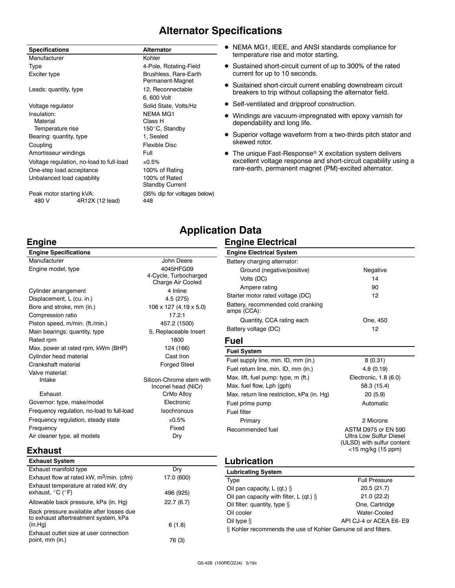#### **Alternator Specifications**

| <b>Specifications</b>             |                                          | <b>Alternator</b>                         |
|-----------------------------------|------------------------------------------|-------------------------------------------|
| Manufacturer                      |                                          | Kohler                                    |
| Type                              |                                          | 4-Pole, Rotating-Field                    |
| Exciter type                      |                                          | Brushless, Rare-Earth<br>Permanent-Magnet |
| Leads: quantity, type             |                                          | 12, Reconnectable                         |
|                                   |                                          | 6, 600 Volt                               |
| Voltage regulator                 |                                          | Solid State, Volts/Hz                     |
| Insulation:                       |                                          | NFMA MG1                                  |
| Material                          |                                          | Class H                                   |
| Temperature rise                  |                                          | 150°C, Standby                            |
| Bearing: quantity, type           |                                          | 1, Sealed                                 |
| Coupling                          |                                          | Flexible Disc                             |
| Amortisseur windings              |                                          | Full                                      |
|                                   | Voltage regulation, no-load to full-load | ±0.5%                                     |
| One-step load acceptance          |                                          | 100% of Rating                            |
| Unbalanced load capability        |                                          | 100% of Rated<br><b>Standby Current</b>   |
| Peak motor starting kVA:<br>480 V | 4R12X (12 lead)                          | (35% dip for voltages below)<br>448       |

- NEMA MG1, IEEE, and ANSI standards compliance for temperature rise and motor starting.
- Sustained short-circuit current of up to 300% of the rated current for up to 10 seconds.
- Sustained short-circuit current enabling downstream circuit breakers to trip without collapsing the alternator field.
- Self-ventilated and dripproof construction.
- Windings are vacuum-impregnated with epoxy varnish for dependability and long life.
- Superior voltage waveform from a two-thirds pitch stator and skewed rotor.
- $\bullet$  The unique Fast-Response® X excitation system delivers excellent voltage response and short-circuit capability using a rare-earth, permanent magnet (PM)-excited alternator.

#### **Engine**

**Exhaust**

#### **Engine Specifications** Manufacturer **Manufacturer** John Deere Engine model, type 4045HFG09 4-Cycle, Turbocharged Charge Air Cooled Cylinder arrangement 4 Inline Displacement, L (cu. in.) 4.5 (275) Bore and stroke, mm (in.) 106 x 127 (4.19 x 5.0) Compression ratio 17.2:1 Piston speed, m/min. (ft./min.) 457.2 (1500) Main bearings: quantity, type 5, Replaceable Insert Rated rpm 1800 Max. power at rated rpm, kWm (BHP) 124 (166) Cylinder head material Cylinder head material cast Iron Crankshaft material **Forged Steel** Valve material: Intake Silicon-Chrome stem with Inconel head (NiCr) Exhaust **CrMo Alloy** Governor: type, make/model Electronic Frequency regulation, no-load to full-load Isochronous Frequency regulation, steady state  $\pm 0.5\%$ Frequency **Fixed** Air cleaner type, all models Dry

#### **Application Data Engine Electrical**

| <b>Engine Electrical System</b>                   |                                                                                                    |
|---------------------------------------------------|----------------------------------------------------------------------------------------------------|
| Battery charging alternator:                      |                                                                                                    |
| Ground (negative/positive)                        | Negative                                                                                           |
| Volts (DC)                                        | 14                                                                                                 |
| Ampere rating                                     | 90                                                                                                 |
| Starter motor rated voltage (DC)                  | 12                                                                                                 |
| Battery, recommended cold cranking<br>amps (CCA): |                                                                                                    |
| Quantity, CCA rating each                         | One, 450                                                                                           |
| Battery voltage (DC)                              | 12                                                                                                 |
| Fuel                                              |                                                                                                    |
| <b>Fuel System</b>                                |                                                                                                    |
| Fuel supply line, min. ID, mm (in.)               | 8(0.31)                                                                                            |
| Fuel return line, min. ID, mm (in.)               | 4.8(0.19)                                                                                          |
| Max. lift, fuel pump: type, m (ft.)               | Electronic, 1.8 (6.0)                                                                              |
| Max. fuel flow, Lph (gph)                         | 58.3 (15.4)                                                                                        |
| Max. return line restriction, kPa (in. Hg)        | 20(5.9)                                                                                            |
| Fuel prime pump                                   | Automatic                                                                                          |
| Fuel filter                                       |                                                                                                    |
| Primary                                           | 2 Microns                                                                                          |
| Recommended fuel                                  | ASTM D975 or FN 590<br>Ultra Low Sulfur Diesel<br>(ULSD) with sulfur content<br><15 mg/kg (15 ppm) |
| Lubrication                                       |                                                                                                    |

| <b>Exhaust System</b>                                                             |            |
|-----------------------------------------------------------------------------------|------------|
| Exhaust manifold type                                                             | Dry        |
| Exhaust flow at rated kW, $m^3$ /min. (cfm)                                       | 17.0 (600) |
| Exhaust temperature at rated kW, dry<br>exhaust, $^{\circ}$ C ( $^{\circ}$ F)     | 496 (925)  |
| Allowable back pressure, kPa (in. Hg)                                             | 22.7(6.7)  |
| Back pressure available after losses due<br>to exhaust aftertreatment system, kPa |            |
| (in.Hq)                                                                           | 6(1.8)     |
| Exhaust outlet size at user connection<br>point, mm (in.)                         | 76 (3)     |

#### **Lubrication**

| <b>Lubricating System</b>                                      |                        |
|----------------------------------------------------------------|------------------------|
| Type                                                           | <b>Full Pressure</b>   |
| Oil pan capacity, $L$ (qt.) $\S$                               | 20.5(21.7)             |
| Oil pan capacity with filter, L (qt.) $\S$                     | 21.0(22.2)             |
| Oil filter: quantity, type $\S$                                | One, Cartridge         |
| Oil cooler                                                     | Water-Cooled           |
| Oil type $§$                                                   | API CJ-4 or ACEA E6-E9 |
| § Kohler recommends the use of Kohler Genuine oil and filters. |                        |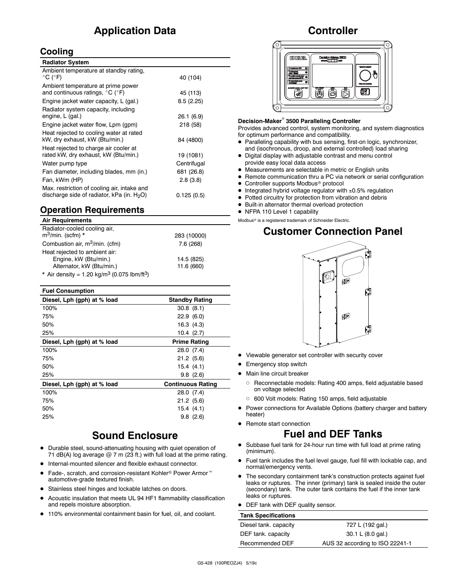#### **Application Data**

#### **Cooling**

| <b>Radiator System</b>                                                                                |             |
|-------------------------------------------------------------------------------------------------------|-------------|
| Ambient temperature at standby rating,<br>$^{\circ}$ C ( $^{\circ}$ F)                                | 40 (104)    |
| Ambient temperature at prime power<br>and continuous ratings, $^{\circ}$ C ( $^{\circ}$ F)            | 45 (113)    |
| Engine jacket water capacity, L (gal.)                                                                | 8.5(2.25)   |
| Radiator system capacity, including<br>engine, L (gal.)                                               | 26.1(6.9)   |
| Engine jacket water flow, Lpm (gpm)                                                                   | 218 (58)    |
| Heat rejected to cooling water at rated<br>kW, dry exhaust, kW (Btu/min.)                             | 84 (4800)   |
| Heat rejected to charge air cooler at<br>rated kW, dry exhaust, kW (Btu/min.)                         | 19 (1081)   |
| Water pump type                                                                                       | Centrifugal |
| Fan diameter, including blades, mm (in.)                                                              | 681 (26.8)  |
| Fan, kWm (HP)                                                                                         | 2.8(3.8)    |
| Max. restriction of cooling air, intake and<br>discharge side of radiator, kPa (in. H <sub>2</sub> O) | 0.125(0.5)  |

#### **Operation Requirements**

#### **Air Requirements**

| Radiator-cooled cooling air,<br>$m^3$ /min. (scfm) *                | 283 (10000) |
|---------------------------------------------------------------------|-------------|
| Combustion air, m <sup>3</sup> /min. (cfm)                          | 7.6(268)    |
| Heat rejected to ambient air:                                       |             |
| Engine, kW (Btu/min.)                                               | 14.5 (825)  |
| Alternator, kW (Btu/min.)                                           | 11.6 (660)  |
| * Air density = 1.20 kg/m <sup>3</sup> (0.075 lbm/ft <sup>3</sup> ) |             |

| <b>Fuel Consumption</b>     |                          |
|-----------------------------|--------------------------|
| Diesel, Lph (gph) at % load | <b>Standby Rating</b>    |
| 100%                        | 30.8(8.1)                |
| 75%                         | 22.9(6.0)                |
| 50%                         | 16.3(4.3)                |
| 25%                         | 10.4(2.7)                |
| Diesel, Lph (gph) at % load | <b>Prime Rating</b>      |
| 100%                        | 28.0 (7.4)               |
| 75%                         | 21.2(5.6)                |
| 50%                         | 15.4(4.1)                |
| 25%                         | 9.8(2.6)                 |
| Diesel, Lph (gph) at % load | <b>Continuous Rating</b> |
| 100%                        | 28.0 (7.4)               |
| 75%                         | 21.2(5.6)                |
| 50%                         | 15.4(4.1)                |
| 25%                         | 9.8(2.6)                 |
|                             |                          |

#### **Sound Enclosure**

- $\bullet$  Durable steel, sound-attenuating housing with quiet operation of 71 dB(A) log average  $@$  7 m (23 ft.) with full load at the prime rating.
- $\bullet$  Internal-mounted silencer and flexible exhaust connector.
- Fade-, scratch, and corrosion-resistant Kohler<sup>®</sup> Power Armor<sup>™</sup> automotive-grade textured finish.
- Stainless steel hinges and lockable latches on doors.
- Acoustic insulation that meets UL 94 HF1 flammability classification and repels moisture absorption.
- 110% environmental containment basin for fuel, oil, and coolant.

#### **Controller**



#### **Decision-Maker<sup>®</sup> 3500 Paralleling Controller**

Provides advanced control, system monitoring, and system diagnostics for optimum performance and compatibility.

- D Paralleling capability with bus sensing, first-on logic, synchronizer, and (isochronous, droop, and external controlled) load sharing
- $\bullet$  Digital display with adjustable contrast and menu control provide easy local data access
- $\bullet$  Measurements are selectable in metric or English units
- Remote communication thru a PC via network or serial configuration
- $\bullet$  Controller supports Modbus® protocol
- $\bullet$  Integrated hybrid voltage regulator with  $\pm 0.5\%$  regulation
- Potted circuitry for protection from vibration and debris
- $\bullet$  Built-in alternator thermal overload protection
- NFPA 110 Level 1 capability

Modbus<sup>®</sup> is a registered trademark of Schneider Electric.

#### **Customer Connection Panel**



- Viewable generator set controller with security cover
- **•** Emergency stop switch
- $\bullet$  Main line circuit breaker
	- o Reconnectable models: Rating 400 amps, field adjustable based on voltage selected
	- o 600 Volt models: Rating 150 amps, field adjustable
- Power connections for Available Options (battery charger and battery heater)
- Remote start connection

#### **Fuel and DEF Tanks**

- Subbase fuel tank for 24-hour run time with full load at prime rating (minimum).
- Fuel tank includes the fuel level gauge, fuel fill with lockable cap, and normal/emergency vents.
- The secondary containment tank's construction protects against fuel leaks or ruptures. The inner (primary) tank is sealed inside the outer (secondary) tank. The outer tank contains the fuel if the inner tank leaks or ruptures.
- DEF tank with DEF quality sensor.

| <b>Tank Specifications</b> |                                 |
|----------------------------|---------------------------------|
| Diesel tank. capacity      | 727 L (192 gal.)                |
| DEF tank. capacity         | 30.1 L (8.0 gal.)               |
| Recommended DEF            | AUS 32 according to ISO 22241-1 |
|                            |                                 |